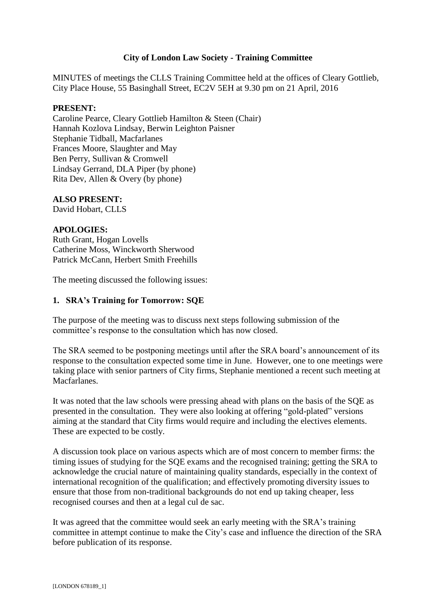# **City of London Law Society - Training Committee**

MINUTES of meetings the CLLS Training Committee held at the offices of Cleary Gottlieb, City Place House, 55 Basinghall Street, EC2V 5EH at 9.30 pm on 21 April, 2016

#### **PRESENT:**

Caroline Pearce, Cleary Gottlieb Hamilton & Steen (Chair) Hannah Kozlova Lindsay, Berwin Leighton Paisner Stephanie Tidball, Macfarlanes Frances Moore, Slaughter and May Ben Perry, Sullivan & Cromwell Lindsay Gerrand, DLA Piper (by phone) Rita Dev, Allen & Overy (by phone)

## **ALSO PRESENT:**

David Hobart, CLLS

#### **APOLOGIES:**

Ruth Grant, Hogan Lovells Catherine Moss, Winckworth Sherwood Patrick McCann, Herbert Smith Freehills

The meeting discussed the following issues:

### **1. SRA's Training for Tomorrow: SQE**

The purpose of the meeting was to discuss next steps following submission of the committee's response to the consultation which has now closed.

The SRA seemed to be postponing meetings until after the SRA board's announcement of its response to the consultation expected some time in June. However, one to one meetings were taking place with senior partners of City firms, Stephanie mentioned a recent such meeting at Macfarlanes.

It was noted that the law schools were pressing ahead with plans on the basis of the SQE as presented in the consultation. They were also looking at offering "gold-plated" versions aiming at the standard that City firms would require and including the electives elements. These are expected to be costly.

A discussion took place on various aspects which are of most concern to member firms: the timing issues of studying for the SQE exams and the recognised training; getting the SRA to acknowledge the crucial nature of maintaining quality standards, especially in the context of international recognition of the qualification; and effectively promoting diversity issues to ensure that those from non-traditional backgrounds do not end up taking cheaper, less recognised courses and then at a legal cul de sac.

It was agreed that the committee would seek an early meeting with the SRA's training committee in attempt continue to make the City's case and influence the direction of the SRA before publication of its response.